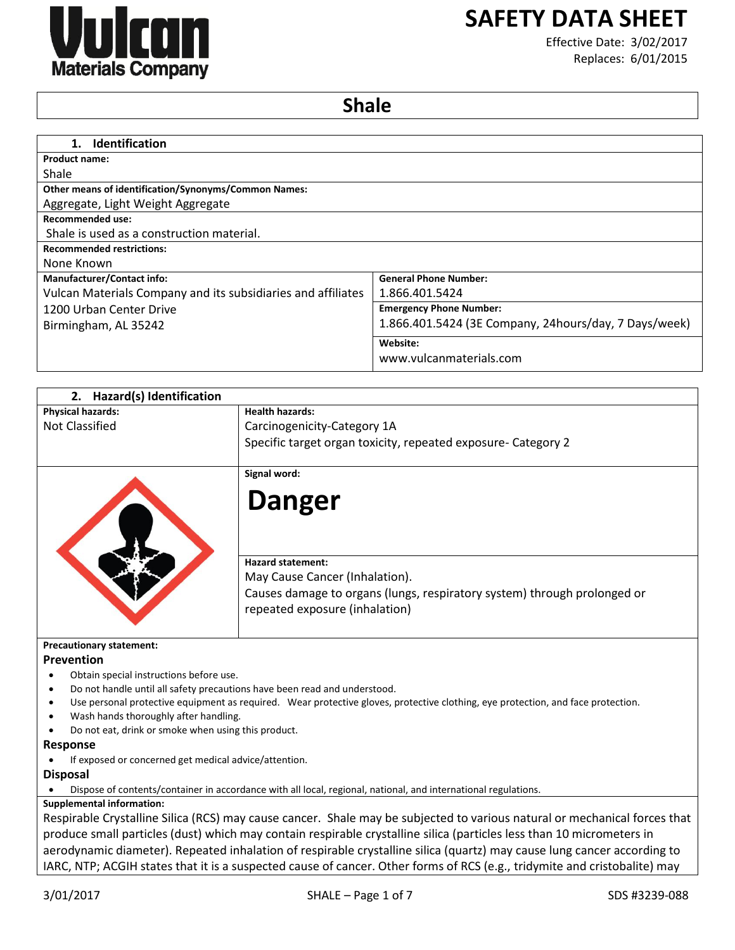

# **SAFETY DATA SHEET**

Effective Date: 3/02/2017 Replaces: 6/01/2015

## **Shale**

| <b>General Phone Number:</b>                          |
|-------------------------------------------------------|
| 1.866.401.5424                                        |
| <b>Emergency Phone Number:</b>                        |
| 1.866.401.5424 (3E Company, 24hours/day, 7 Days/week) |
| Website:                                              |
| www.vulcanmaterials.com                               |
|                                                       |

| 2. Hazard(s) Identification                                                                       |                                                                                                                                  |
|---------------------------------------------------------------------------------------------------|----------------------------------------------------------------------------------------------------------------------------------|
| <b>Physical hazards:</b>                                                                          | <b>Health hazards:</b>                                                                                                           |
| Not Classified                                                                                    | Carcinogenicity-Category 1A                                                                                                      |
|                                                                                                   | Specific target organ toxicity, repeated exposure- Category 2                                                                    |
|                                                                                                   | Signal word:                                                                                                                     |
|                                                                                                   | <b>Danger</b>                                                                                                                    |
|                                                                                                   | <b>Hazard statement:</b><br>May Cause Cancer (Inhalation).                                                                       |
|                                                                                                   | Causes damage to organs (lungs, respiratory system) through prolonged or<br>repeated exposure (inhalation)                       |
| <b>Precautionary statement:</b>                                                                   |                                                                                                                                  |
| Prevention                                                                                        |                                                                                                                                  |
| Obtain special instructions before use.                                                           |                                                                                                                                  |
|                                                                                                   | Do not handle until all safety precautions have been read and understood.                                                        |
| ٠                                                                                                 | Use personal protective equipment as required. Wear protective gloves, protective clothing, eye protection, and face protection. |
| Wash hands thoroughly after handling.<br>٠<br>Do not eat, drink or smoke when using this product. |                                                                                                                                  |
| Response                                                                                          |                                                                                                                                  |
| If exposed or concerned get medical advice/attention.                                             |                                                                                                                                  |
| <b>Disposal</b>                                                                                   |                                                                                                                                  |
|                                                                                                   | Dispose of contents/container in accordance with all local, regional, national, and international regulations.                   |
| <b>Supplemental information:</b>                                                                  |                                                                                                                                  |
|                                                                                                   | Respirable Crystalline Silica (RCS) may cause cancer. Shale may be subjected to various natural or mechanical forces that        |
|                                                                                                   | produce small particles (dust) which may contain respirable crystalline silica (particles less than 10 micrometers in            |
|                                                                                                   |                                                                                                                                  |
|                                                                                                   | aerodynamic diameter). Repeated inhalation of respirable crystalline silica (quartz) may cause lung cancer according to          |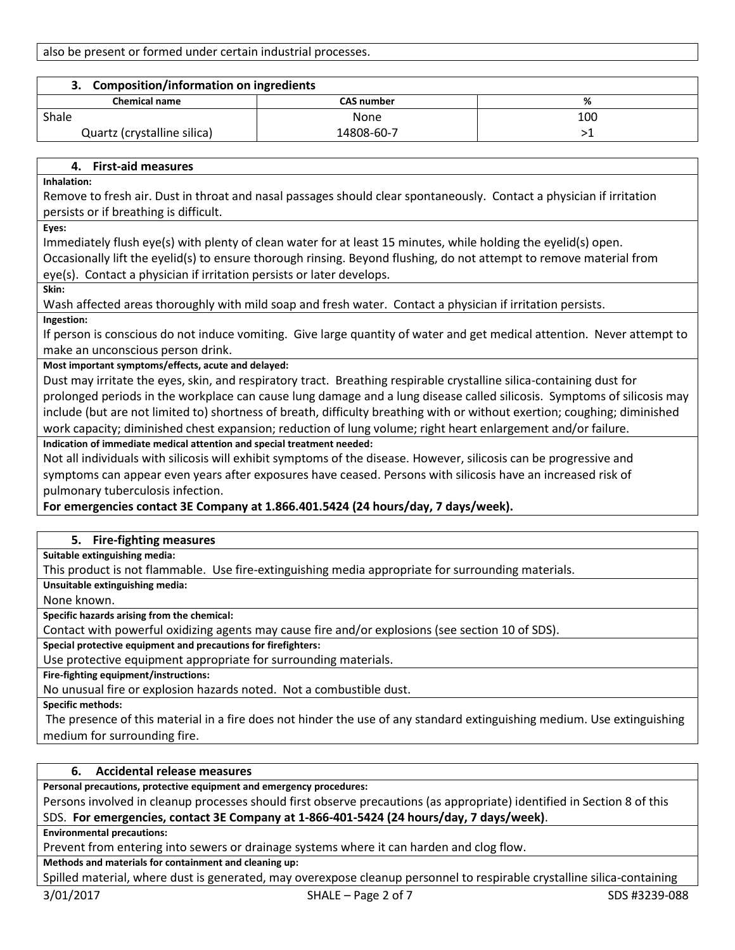also be present or formed under certain industrial processes.

| <b>Composition/information on ingredients</b> |                   |     |  |
|-----------------------------------------------|-------------------|-----|--|
| <b>Chemical name</b>                          | <b>CAS number</b> | %   |  |
| Shale                                         | None              | 100 |  |
| Quartz (crystalline silica)                   | 14808-60-7        |     |  |

## **4. First-aid measures**

**Inhalation:**

Remove to fresh air. Dust in throat and nasal passages should clear spontaneously. Contact a physician if irritation persists or if breathing is difficult.

**Eyes:**

Immediately flush eye(s) with plenty of clean water for at least 15 minutes, while holding the eyelid(s) open.

Occasionally lift the eyelid(s) to ensure thorough rinsing. Beyond flushing, do not attempt to remove material from eye(s). Contact a physician if irritation persists or later develops.

**Skin:**

Wash affected areas thoroughly with mild soap and fresh water. Contact a physician if irritation persists. **Ingestion:**

If person is conscious do not induce vomiting. Give large quantity of water and get medical attention. Never attempt to make an unconscious person drink.

## **Most important symptoms/effects, acute and delayed:**

Dust may irritate the eyes, skin, and respiratory tract. Breathing respirable crystalline silica-containing dust for prolonged periods in the workplace can cause lung damage and a lung disease called silicosis. Symptoms of silicosis may include (but are not limited to) shortness of breath, difficulty breathing with or without exertion; coughing; diminished work capacity; diminished chest expansion; reduction of lung volume; right heart enlargement and/or failure.

## **Indication of immediate medical attention and special treatment needed:**

Not all individuals with silicosis will exhibit symptoms of the disease. However, silicosis can be progressive and symptoms can appear even years after exposures have ceased. Persons with silicosis have an increased risk of pulmonary tuberculosis infection.

## **For emergencies contact 3E Company at 1.866.401.5424 (24 hours/day, 7 days/week).**

## **5. Fire-fighting measures**

**Suitable extinguishing media:**

This product is not flammable. Use fire-extinguishing media appropriate for surrounding materials.

**Unsuitable extinguishing media:**

None known.

**Specific hazards arising from the chemical:**

Contact with powerful oxidizing agents may cause fire and/or explosions (see section 10 of SDS).

**Special protective equipment and precautions for firefighters:**

Use protective equipment appropriate for surrounding materials.

**Fire-fighting equipment/instructions:**

No unusual fire or explosion hazards noted. Not a combustible dust.

**Specific methods:**

The presence of this material in a fire does not hinder the use of any standard extinguishing medium. Use extinguishing medium for surrounding fire.

## **6. Accidental release measures**

**Personal precautions, protective equipment and emergency procedures:**

Persons involved in cleanup processes should first observe precautions (as appropriate) identified in Section 8 of this SDS. **For emergencies, contact 3E Company at 1-866-401-5424 (24 hours/day, 7 days/week)**.

**Environmental precautions:**

Prevent from entering into sewers or drainage systems where it can harden and clog flow.

**Methods and materials for containment and cleaning up:**

Spilled material, where dust is generated, may overexpose cleanup personnel to respirable crystalline silica-containing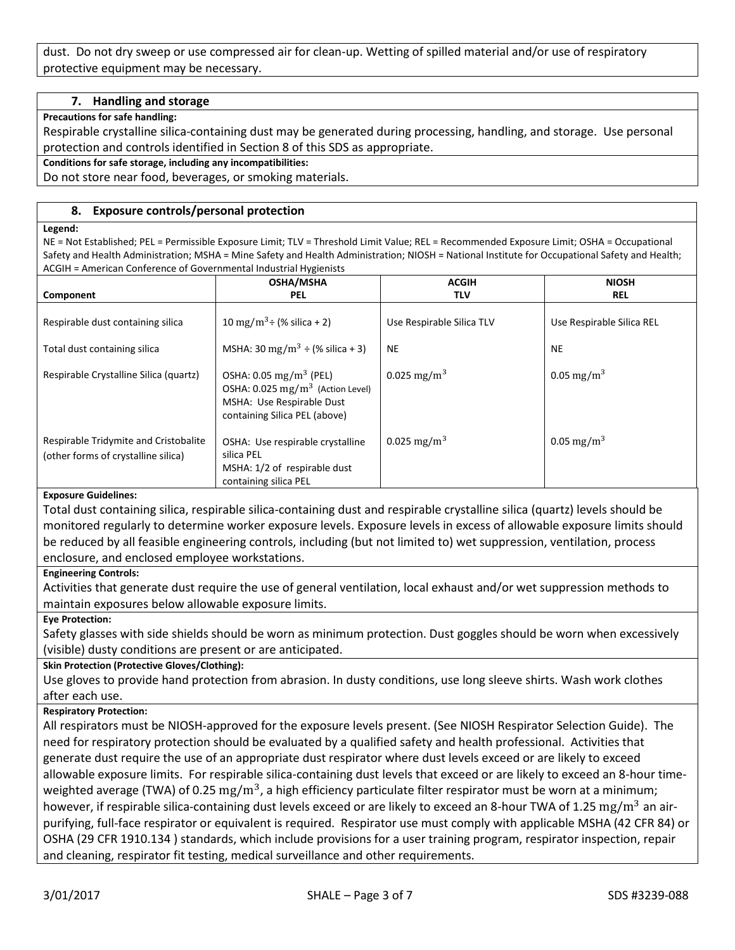dust. Do not dry sweep or use compressed air for clean-up. Wetting of spilled material and/or use of respiratory protective equipment may be necessary.

## **7. Handling and storage**

#### **Precautions for safe handling:**

Respirable crystalline silica-containing dust may be generated during processing, handling, and storage. Use personal protection and controls identified in Section 8 of this SDS as appropriate.

#### **Conditions for safe storage, including any incompatibilities:**

Do not store near food, beverages, or smoking materials.

## **8. Exposure controls/personal protection**

#### **Legend:**

NE = Not Established; PEL = Permissible Exposure Limit; TLV = Threshold Limit Value; REL = Recommended Exposure Limit; OSHA = Occupational Safety and Health Administration; MSHA = Mine Safety and Health Administration; NIOSH = National Institute for Occupational Safety and Health; ACGIH = American Conference of Governmental Industrial Hygienists

|                                                                              | <b>OSHA/MSHA</b>                                                                                                                                | <b>ACGIH</b>              | <b>NIOSH</b>              |
|------------------------------------------------------------------------------|-------------------------------------------------------------------------------------------------------------------------------------------------|---------------------------|---------------------------|
| Component                                                                    | <b>PEL</b>                                                                                                                                      | <b>TLV</b>                | <b>REL</b>                |
| Respirable dust containing silica                                            | 10 mg/m <sup>3</sup> ÷ (% silica + 2)                                                                                                           | Use Respirable Silica TLV | Use Respirable Silica REL |
| Total dust containing silica                                                 | MSHA: 30 mg/m <sup>3</sup> $\div$ (% silica + 3)                                                                                                | <b>NE</b>                 | <b>NE</b>                 |
| Respirable Crystalline Silica (quartz)                                       | OSHA: $0.05 \text{ mg/m}^3$ (PEL)<br>OSHA: 0.025 mg/m <sup>3</sup> (Action Level)<br>MSHA: Use Respirable Dust<br>containing Silica PEL (above) | 0.025 mg/m <sup>3</sup>   | 0.05 mg/m <sup>3</sup>    |
| Respirable Tridymite and Cristobalite<br>(other forms of crystalline silica) | OSHA: Use respirable crystalline<br>silica PEL<br>MSHA: 1/2 of respirable dust<br>containing silica PEL                                         | 0.025 mg/m <sup>3</sup>   | 0.05 mg/m <sup>3</sup>    |

## **Exposure Guidelines:**

Total dust containing silica, respirable silica-containing dust and respirable crystalline silica (quartz) levels should be monitored regularly to determine worker exposure levels. Exposure levels in excess of allowable exposure limits should be reduced by all feasible engineering controls, including (but not limited to) wet suppression, ventilation, process enclosure, and enclosed employee workstations.

#### **Engineering Controls:**

Activities that generate dust require the use of general ventilation, local exhaust and/or wet suppression methods to maintain exposures below allowable exposure limits.

#### **Eye Protection:**

Safety glasses with side shields should be worn as minimum protection. Dust goggles should be worn when excessively (visible) dusty conditions are present or are anticipated.

#### **Skin Protection (Protective Gloves/Clothing):**

Use gloves to provide hand protection from abrasion. In dusty conditions, use long sleeve shirts. Wash work clothes after each use.

## **Respiratory Protection:**

All respirators must be NIOSH-approved for the exposure levels present. (See NIOSH Respirator Selection Guide). The need for respiratory protection should be evaluated by a qualified safety and health professional. Activities that generate dust require the use of an appropriate dust respirator where dust levels exceed or are likely to exceed allowable exposure limits. For respirable silica-containing dust levels that exceed or are likely to exceed an 8-hour timeweighted average (TWA) of 0.25  $\rm mg/m^3$ , a high efficiency particulate filter respirator must be worn at a minimum; however, if respirable silica-containing dust levels exceed or are likely to exceed an 8-hour TWA of 1.25  $\rm mg/m^3$  an airpurifying, full-face respirator or equivalent is required. Respirator use must comply with applicable MSHA (42 CFR 84) or OSHA (29 CFR 1910.134 ) standards, which include provisions for a user training program, respirator inspection, repair and cleaning, respirator fit testing, medical surveillance and other requirements.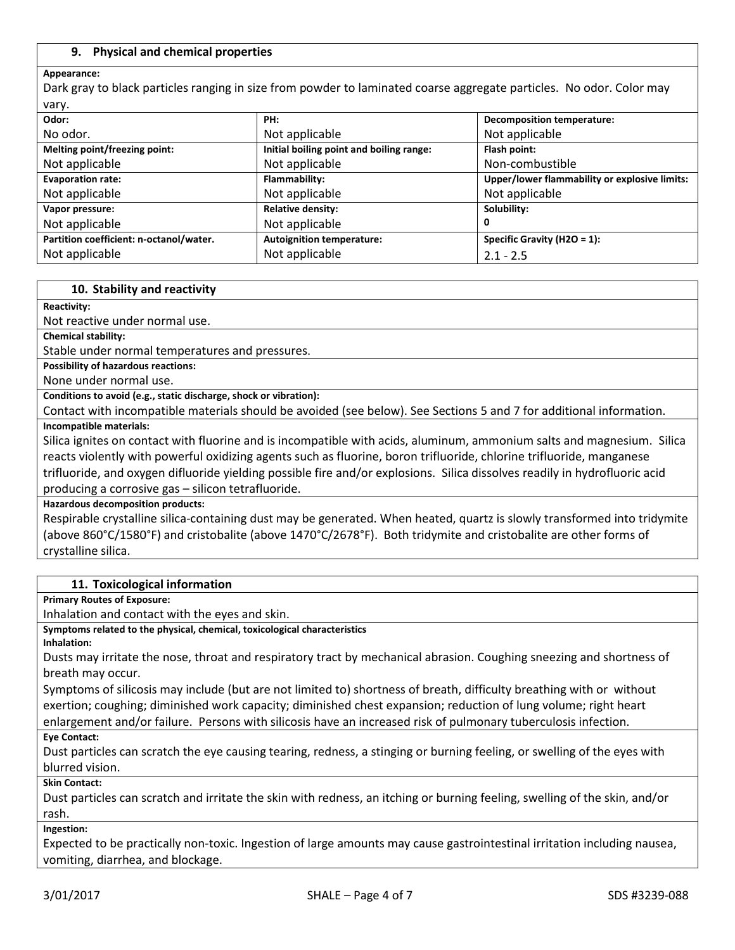## **9. Physical and chemical properties**

#### **Appearance:**

Dark gray to black particles ranging in size from powder to laminated coarse aggregate particles. No odor. Color may vary.

| Odor:                                   | PH:                                      | <b>Decomposition temperature:</b>             |
|-----------------------------------------|------------------------------------------|-----------------------------------------------|
| No odor.                                | Not applicable                           | Not applicable                                |
| Melting point/freezing point:           | Initial boiling point and boiling range: | Flash point:                                  |
| Not applicable                          | Not applicable                           | Non-combustible                               |
| <b>Evaporation rate:</b>                | Flammability:                            | Upper/lower flammability or explosive limits: |
| Not applicable                          | Not applicable                           | Not applicable                                |
| Vapor pressure:                         | <b>Relative density:</b>                 | Solubility:                                   |
| Not applicable                          | Not applicable                           |                                               |
| Partition coefficient: n-octanol/water. | <b>Autoignition temperature:</b>         | Specific Gravity (H2O = $1$ ):                |
| Not applicable                          | Not applicable                           | $2.1 - 2.5$                                   |

#### **10. Stability and reactivity**

#### **Reactivity:**

Not reactive under normal use.

**Chemical stability:**

Stable under normal temperatures and pressures.

**Possibility of hazardous reactions:**

None under normal use.

**Conditions to avoid (e.g., static discharge, shock or vibration):**

Contact with incompatible materials should be avoided (see below). See Sections 5 and 7 for additional information. **Incompatible materials:**

Silica ignites on contact with fluorine and is incompatible with acids, aluminum, ammonium salts and magnesium. Silica reacts violently with powerful oxidizing agents such as fluorine, boron trifluoride, chlorine trifluoride, manganese trifluoride, and oxygen difluoride yielding possible fire and/or explosions. Silica dissolves readily in hydrofluoric acid producing a corrosive gas – silicon tetrafluoride.

**Hazardous decomposition products:**

Respirable crystalline silica-containing dust may be generated. When heated, quartz is slowly transformed into tridymite (above 860°C/1580°F) and cristobalite (above 1470°C/2678°F). Both tridymite and cristobalite are other forms of crystalline silica.

#### **11. Toxicological information**

**Primary Routes of Exposure:**

Inhalation and contact with the eyes and skin.

**Symptoms related to the physical, chemical, toxicological characteristics**

**Inhalation:**

Dusts may irritate the nose, throat and respiratory tract by mechanical abrasion. Coughing sneezing and shortness of breath may occur.

Symptoms of silicosis may include (but are not limited to) shortness of breath, difficulty breathing with or without exertion; coughing; diminished work capacity; diminished chest expansion; reduction of lung volume; right heart enlargement and/or failure. Persons with silicosis have an increased risk of pulmonary tuberculosis infection.

#### **Eye Contact:**

Dust particles can scratch the eye causing tearing, redness, a stinging or burning feeling, or swelling of the eyes with blurred vision.

**Skin Contact:**

Dust particles can scratch and irritate the skin with redness, an itching or burning feeling, swelling of the skin, and/or rash.

**Ingestion:**

Expected to be practically non-toxic. Ingestion of large amounts may cause gastrointestinal irritation including nausea, vomiting, diarrhea, and blockage.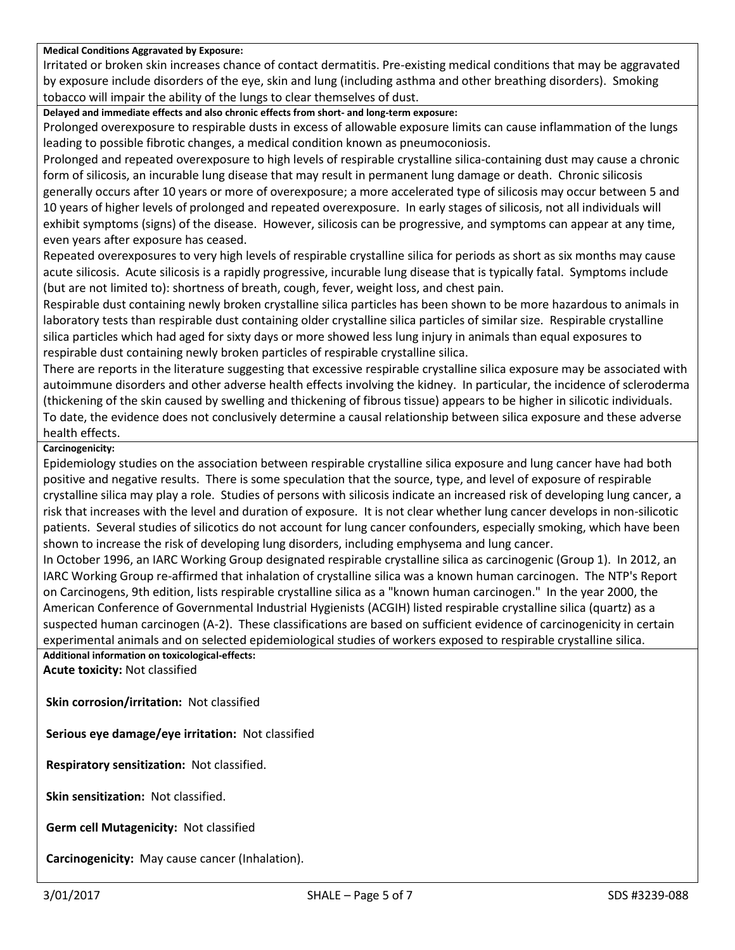## **Medical Conditions Aggravated by Exposure:**

Irritated or broken skin increases chance of contact dermatitis. Pre-existing medical conditions that may be aggravated by exposure include disorders of the eye, skin and lung (including asthma and other breathing disorders). Smoking tobacco will impair the ability of the lungs to clear themselves of dust.

**Delayed and immediate effects and also chronic effects from short- and long-term exposure:**

Prolonged overexposure to respirable dusts in excess of allowable exposure limits can cause inflammation of the lungs leading to possible fibrotic changes, a medical condition known as pneumoconiosis.

Prolonged and repeated overexposure to high levels of respirable crystalline silica-containing dust may cause a chronic form of silicosis, an incurable lung disease that may result in permanent lung damage or death. Chronic silicosis generally occurs after 10 years or more of overexposure; a more accelerated type of silicosis may occur between 5 and 10 years of higher levels of prolonged and repeated overexposure. In early stages of silicosis, not all individuals will exhibit symptoms (signs) of the disease. However, silicosis can be progressive, and symptoms can appear at any time, even years after exposure has ceased.

Repeated overexposures to very high levels of respirable crystalline silica for periods as short as six months may cause acute silicosis. Acute silicosis is a rapidly progressive, incurable lung disease that is typically fatal. Symptoms include (but are not limited to): shortness of breath, cough, fever, weight loss, and chest pain.

Respirable dust containing newly broken crystalline silica particles has been shown to be more hazardous to animals in laboratory tests than respirable dust containing older crystalline silica particles of similar size. Respirable crystalline silica particles which had aged for sixty days or more showed less lung injury in animals than equal exposures to respirable dust containing newly broken particles of respirable crystalline silica.

There are reports in the literature suggesting that excessive respirable crystalline silica exposure may be associated with autoimmune disorders and other adverse health effects involving the kidney. In particular, the incidence of scleroderma (thickening of the skin caused by swelling and thickening of fibrous tissue) appears to be higher in silicotic individuals. To date, the evidence does not conclusively determine a causal relationship between silica exposure and these adverse health effects.

## **Carcinogenicity:**

Epidemiology studies on the association between respirable crystalline silica exposure and lung cancer have had both positive and negative results. There is some speculation that the source, type, and level of exposure of respirable crystalline silica may play a role. Studies of persons with silicosis indicate an increased risk of developing lung cancer, a risk that increases with the level and duration of exposure. It is not clear whether lung cancer develops in non-silicotic patients. Several studies of silicotics do not account for lung cancer confounders, especially smoking, which have been shown to increase the risk of developing lung disorders, including emphysema and lung cancer.

In October 1996, an IARC Working Group designated respirable crystalline silica as carcinogenic (Group 1). In 2012, an IARC Working Group re-affirmed that inhalation of crystalline silica was a known human carcinogen. The NTP's Report on Carcinogens, 9th edition, lists respirable crystalline silica as a "known human carcinogen." In the year 2000, the American Conference of Governmental Industrial Hygienists (ACGIH) listed respirable crystalline silica (quartz) as a suspected human carcinogen (A-2). These classifications are based on sufficient evidence of carcinogenicity in certain experimental animals and on selected epidemiological studies of workers exposed to respirable crystalline silica.

**Additional information on toxicological-effects: Acute toxicity:** Not classified

**Skin corrosion/irritation:** Not classified

**Serious eye damage/eye irritation:** Not classified

**Respiratory sensitization:** Not classified.

**Skin sensitization:** Not classified.

**Germ cell Mutagenicity:** Not classified

**Carcinogenicity:** May cause cancer (Inhalation).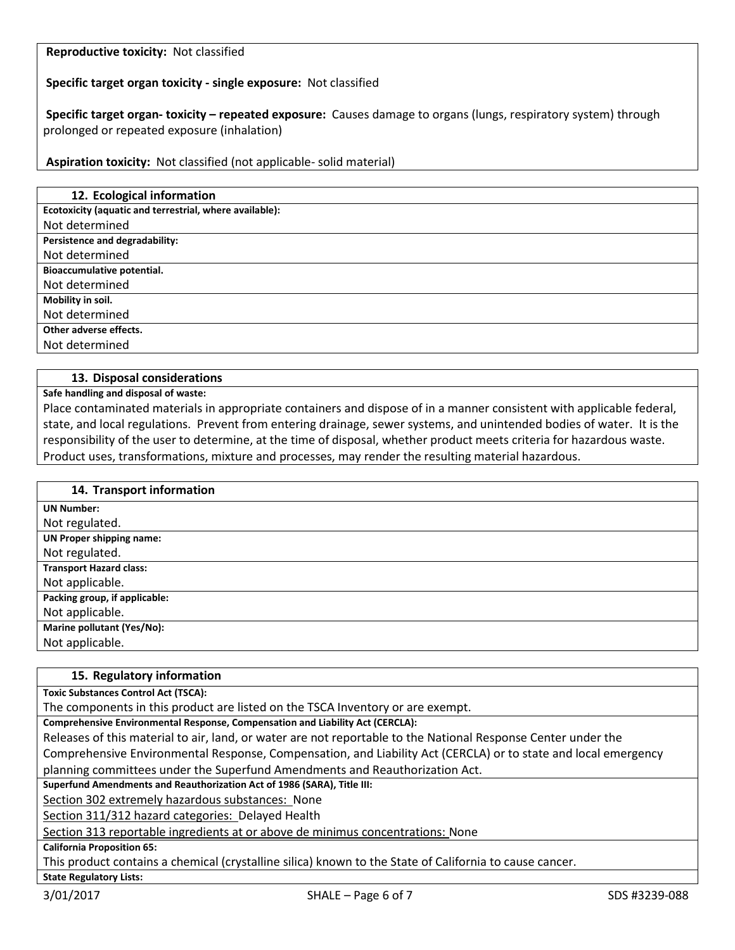**Reproductive toxicity:** Not classified

**Specific target organ toxicity - single exposure:** Not classified

**Specific target organ- toxicity – repeated exposure:** Causes damage to organs (lungs, respiratory system) through prolonged or repeated exposure (inhalation)

**Aspiration toxicity:** Not classified (not applicable- solid material)

| 12. Ecological information                              |
|---------------------------------------------------------|
| Ecotoxicity (aquatic and terrestrial, where available): |
| Not determined                                          |
| Persistence and degradability:                          |
| Not determined                                          |
| Bioaccumulative potential.                              |
| Not determined                                          |
| Mobility in soil.                                       |
| Not determined                                          |
| Other adverse effects.                                  |
| Not determined                                          |
|                                                         |

## **13. Disposal considerations**

**Safe handling and disposal of waste:**

Place contaminated materials in appropriate containers and dispose of in a manner consistent with applicable federal, state, and local regulations. Prevent from entering drainage, sewer systems, and unintended bodies of water. It is the responsibility of the user to determine, at the time of disposal, whether product meets criteria for hazardous waste. Product uses, transformations, mixture and processes, may render the resulting material hazardous.

| 14. Transport information       |
|---------------------------------|
| <b>UN Number:</b>               |
| Not regulated.                  |
| <b>UN Proper shipping name:</b> |
| Not regulated.                  |
| <b>Transport Hazard class:</b>  |
| Not applicable.                 |
| Packing group, if applicable:   |
| Not applicable.                 |
| Marine pollutant (Yes/No):      |
| Not applicable.                 |

## **15. Regulatory information Toxic Substances Control Act (TSCA):** The components in this product are listed on the TSCA Inventory or are exempt. **Comprehensive Environmental Response, Compensation and Liability Act (CERCLA):** Releases of this material to air, land, or water are not reportable to the National Response Center under the Comprehensive Environmental Response, Compensation, and Liability Act (CERCLA) or to state and local emergency planning committees under the Superfund Amendments and Reauthorization Act. **Superfund Amendments and Reauthorization Act of 1986 (SARA), Title III:** Section 302 extremely hazardous substances: None Section 311/312 hazard categories: Delayed Health Section 313 reportable ingredients at or above de minimus concentrations: None **California Proposition 65:** This product contains a chemical (crystalline silica) known to the State of California to cause cancer. **State Regulatory Lists:**